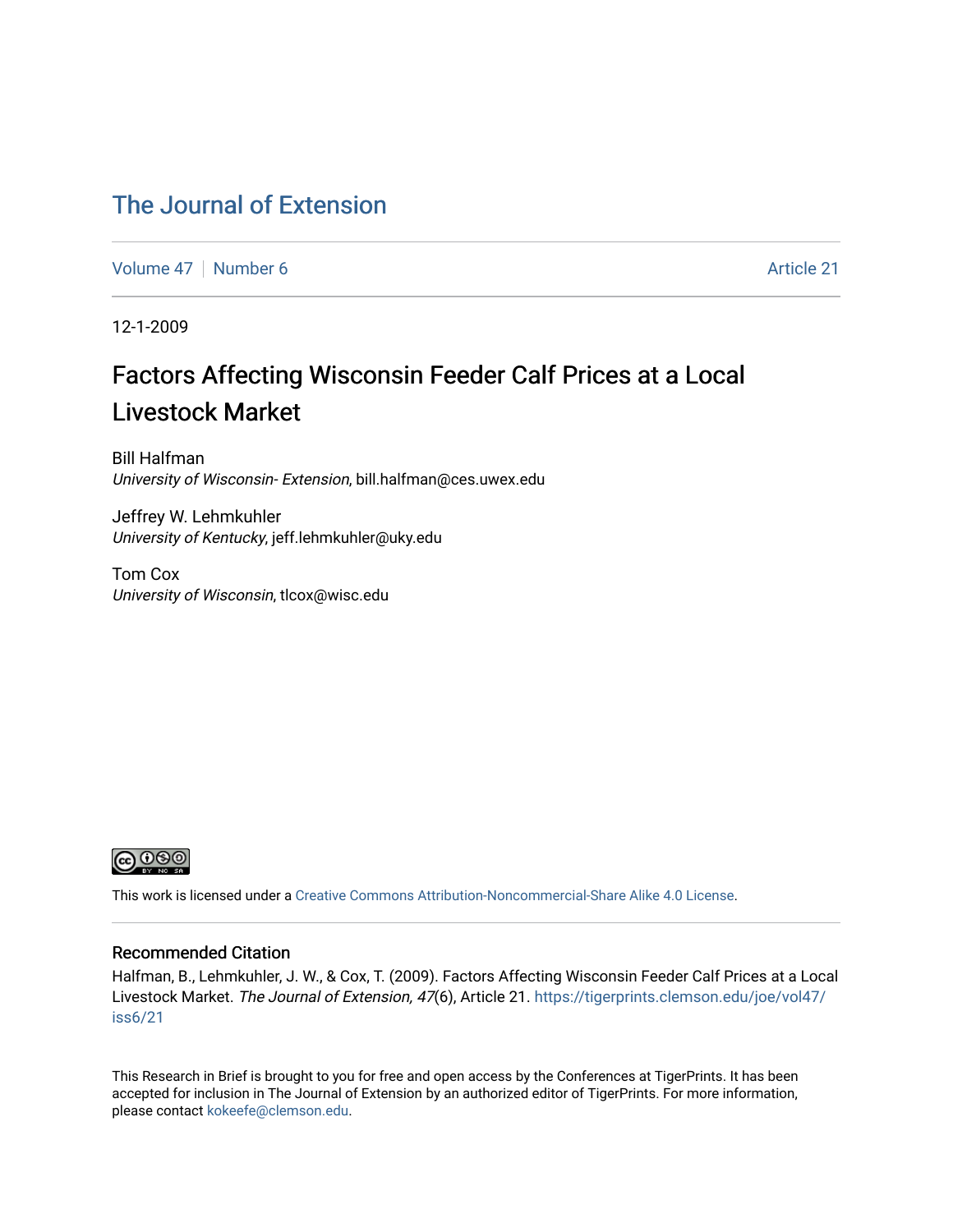### [The Journal of Extension](https://tigerprints.clemson.edu/joe)

[Volume 47](https://tigerprints.clemson.edu/joe/vol47) | [Number 6](https://tigerprints.clemson.edu/joe/vol47/iss6) Article 21

12-1-2009

## Factors Affecting Wisconsin Feeder Calf Prices at a Local Livestock Market

Bill Halfman University of Wisconsin- Extension, bill.halfman@ces.uwex.edu

Jeffrey W. Lehmkuhler University of Kentucky, jeff.lehmkuhler@uky.edu

Tom Cox University of Wisconsin, tlcox@wisc.edu



This work is licensed under a [Creative Commons Attribution-Noncommercial-Share Alike 4.0 License.](https://creativecommons.org/licenses/by-nc-sa/4.0/)

#### Recommended Citation

Halfman, B., Lehmkuhler, J. W., & Cox, T. (2009). Factors Affecting Wisconsin Feeder Calf Prices at a Local Livestock Market. The Journal of Extension, 47(6), Article 21. [https://tigerprints.clemson.edu/joe/vol47/](https://tigerprints.clemson.edu/joe/vol47/iss6/21) [iss6/21](https://tigerprints.clemson.edu/joe/vol47/iss6/21) 

This Research in Brief is brought to you for free and open access by the Conferences at TigerPrints. It has been accepted for inclusion in The Journal of Extension by an authorized editor of TigerPrints. For more information, please contact [kokeefe@clemson.edu](mailto:kokeefe@clemson.edu).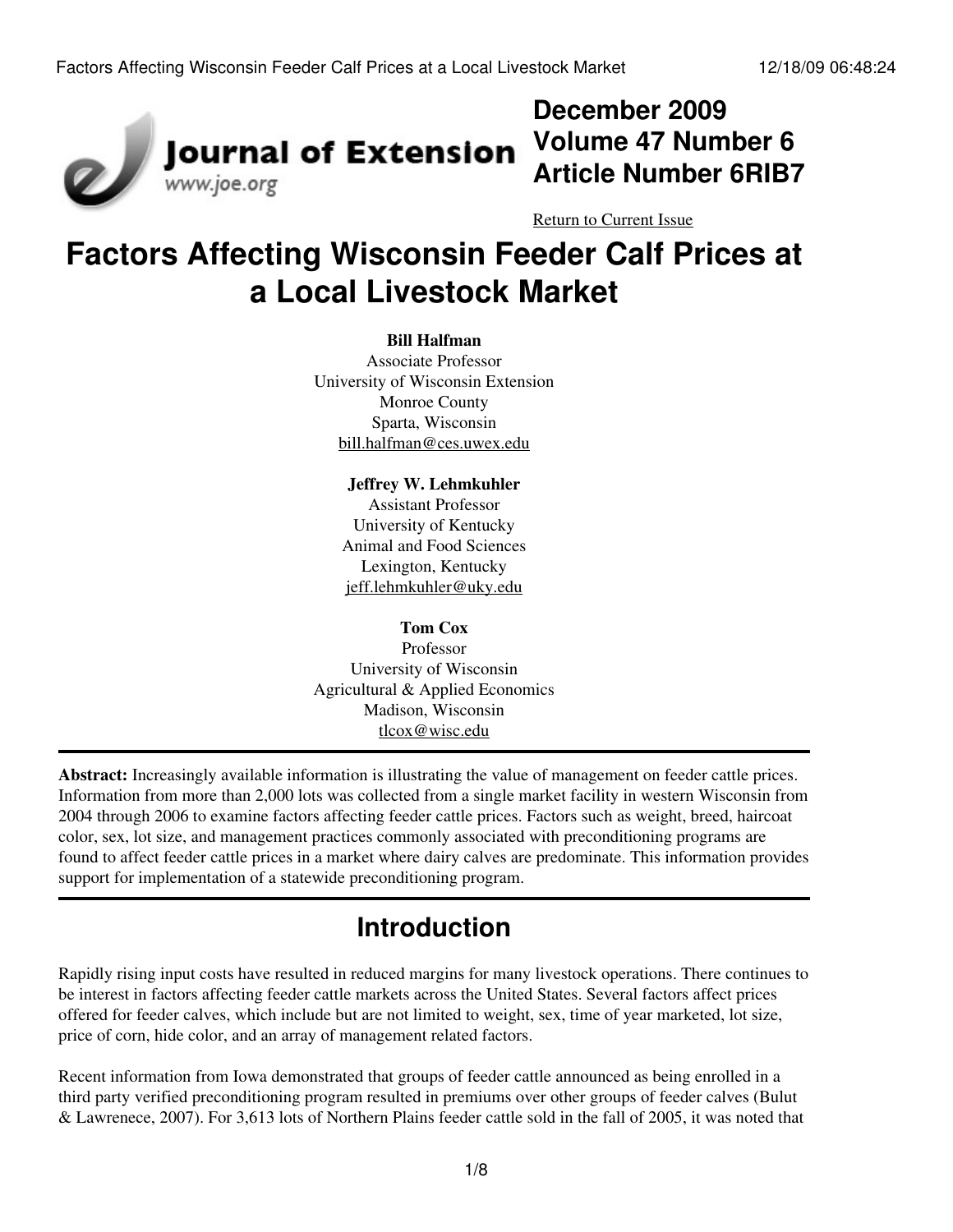

## **December 2009 Volume 47 Number 6 Article Number 6RIB7**

[Return to Current Issue](http://www.joe.org:80/joe/2009december/)

# **Factors Affecting Wisconsin Feeder Calf Prices at a Local Livestock Market**

#### **Bill Halfman**

Associate Professor University of Wisconsin Extension Monroe County Sparta, Wisconsin [bill.halfman@ces.uwex.edu](mailto:bill.halfman@ces.uwex.edu)

> **Jeffrey W. Lehmkuhler** Assistant Professor University of Kentucky Animal and Food Sciences Lexington, Kentucky [jeff.lehmkuhler@uky.edu](mailto:jeff.lehmkuhler@uky.edu)

### **Tom Cox**

Professor University of Wisconsin Agricultural & Applied Economics Madison, Wisconsin [tlcox@wisc.edu](mailto:tlcox@wisc.edu)

**Abstract:** Increasingly available information is illustrating the value of management on feeder cattle prices. Information from more than 2,000 lots was collected from a single market facility in western Wisconsin from 2004 through 2006 to examine factors affecting feeder cattle prices. Factors such as weight, breed, haircoat color, sex, lot size, and management practices commonly associated with preconditioning programs are found to affect feeder cattle prices in a market where dairy calves are predominate. This information provides support for implementation of a statewide preconditioning program.

## **Introduction**

Rapidly rising input costs have resulted in reduced margins for many livestock operations. There continues to be interest in factors affecting feeder cattle markets across the United States. Several factors affect prices offered for feeder calves, which include but are not limited to weight, sex, time of year marketed, lot size, price of corn, hide color, and an array of management related factors.

Recent information from Iowa demonstrated that groups of feeder cattle announced as being enrolled in a third party verified preconditioning program resulted in premiums over other groups of feeder calves (Bulut & Lawrenece, 2007). For 3,613 lots of Northern Plains feeder cattle sold in the fall of 2005, it was noted that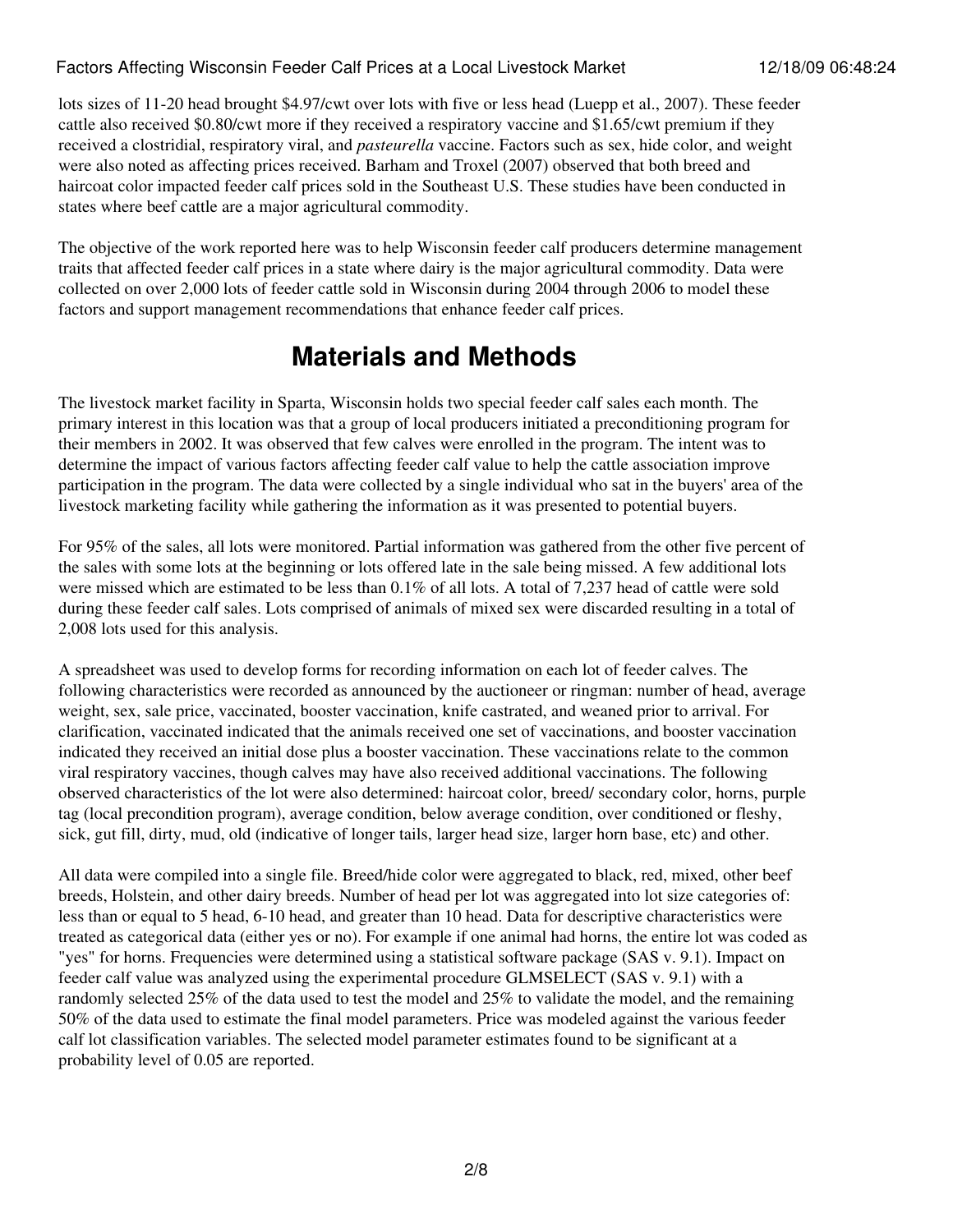### Factors Affecting Wisconsin Feeder Calf Prices at a Local Livestock Market 12/18/09 06:48:24

lots sizes of 11-20 head brought \$4.97/cwt over lots with five or less head (Luepp et al., 2007). These feeder cattle also received \$0.80/cwt more if they received a respiratory vaccine and \$1.65/cwt premium if they received a clostridial, respiratory viral, and *pasteurella* vaccine. Factors such as sex, hide color, and weight were also noted as affecting prices received. Barham and Troxel (2007) observed that both breed and haircoat color impacted feeder calf prices sold in the Southeast U.S. These studies have been conducted in states where beef cattle are a major agricultural commodity.

The objective of the work reported here was to help Wisconsin feeder calf producers determine management traits that affected feeder calf prices in a state where dairy is the major agricultural commodity. Data were collected on over 2,000 lots of feeder cattle sold in Wisconsin during 2004 through 2006 to model these factors and support management recommendations that enhance feeder calf prices.

## **Materials and Methods**

The livestock market facility in Sparta, Wisconsin holds two special feeder calf sales each month. The primary interest in this location was that a group of local producers initiated a preconditioning program for their members in 2002. It was observed that few calves were enrolled in the program. The intent was to determine the impact of various factors affecting feeder calf value to help the cattle association improve participation in the program. The data were collected by a single individual who sat in the buyers' area of the livestock marketing facility while gathering the information as it was presented to potential buyers.

For 95% of the sales, all lots were monitored. Partial information was gathered from the other five percent of the sales with some lots at the beginning or lots offered late in the sale being missed. A few additional lots were missed which are estimated to be less than 0.1% of all lots. A total of 7,237 head of cattle were sold during these feeder calf sales. Lots comprised of animals of mixed sex were discarded resulting in a total of 2,008 lots used for this analysis.

A spreadsheet was used to develop forms for recording information on each lot of feeder calves. The following characteristics were recorded as announced by the auctioneer or ringman: number of head, average weight, sex, sale price, vaccinated, booster vaccination, knife castrated, and weaned prior to arrival. For clarification, vaccinated indicated that the animals received one set of vaccinations, and booster vaccination indicated they received an initial dose plus a booster vaccination. These vaccinations relate to the common viral respiratory vaccines, though calves may have also received additional vaccinations. The following observed characteristics of the lot were also determined: haircoat color, breed/ secondary color, horns, purple tag (local precondition program), average condition, below average condition, over conditioned or fleshy, sick, gut fill, dirty, mud, old (indicative of longer tails, larger head size, larger horn base, etc) and other.

All data were compiled into a single file. Breed/hide color were aggregated to black, red, mixed, other beef breeds, Holstein, and other dairy breeds. Number of head per lot was aggregated into lot size categories of: less than or equal to 5 head, 6-10 head, and greater than 10 head. Data for descriptive characteristics were treated as categorical data (either yes or no). For example if one animal had horns, the entire lot was coded as "yes" for horns. Frequencies were determined using a statistical software package (SAS v. 9.1). Impact on feeder calf value was analyzed using the experimental procedure GLMSELECT (SAS v. 9.1) with a randomly selected 25% of the data used to test the model and 25% to validate the model, and the remaining 50% of the data used to estimate the final model parameters. Price was modeled against the various feeder calf lot classification variables. The selected model parameter estimates found to be significant at a probability level of 0.05 are reported.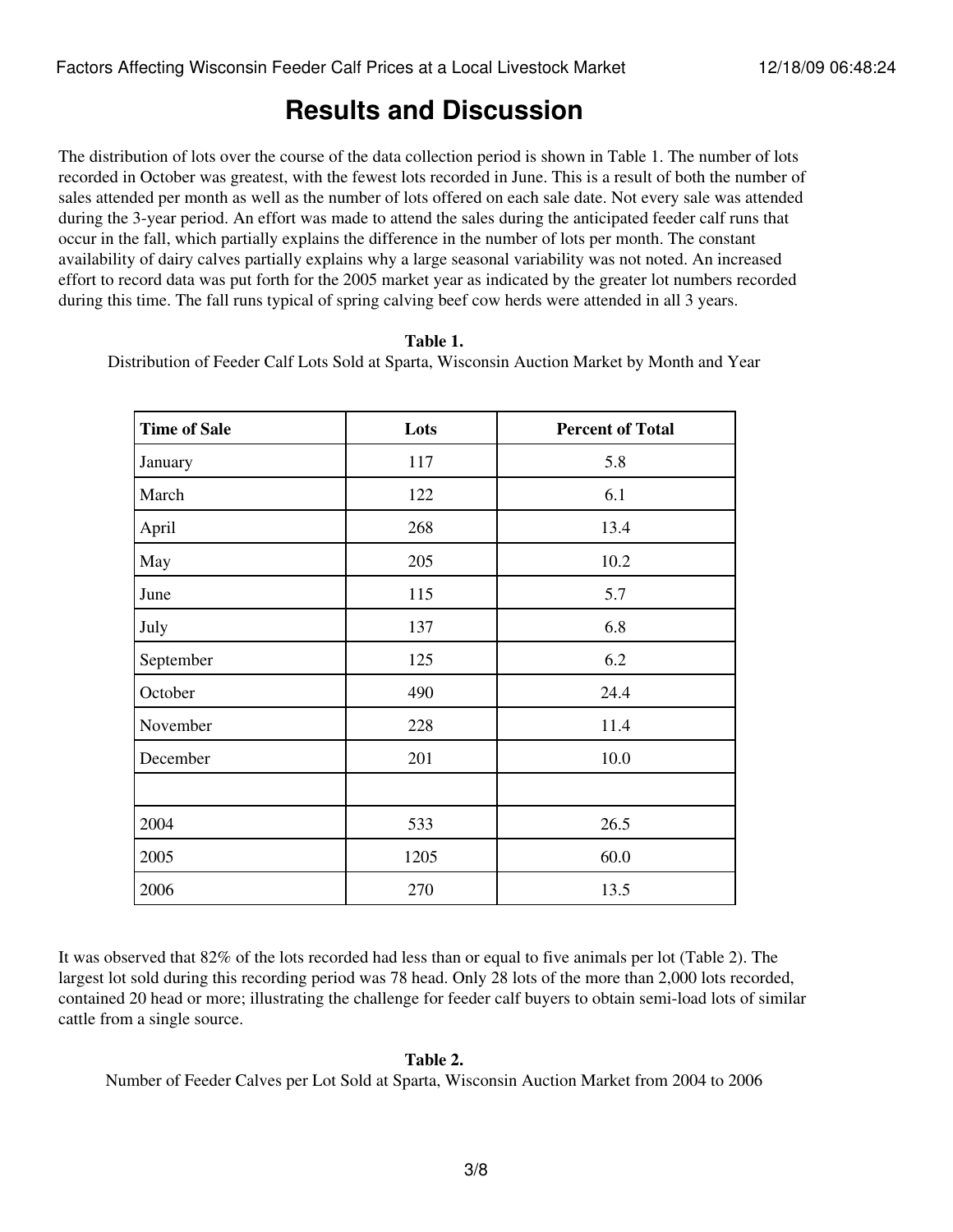### **Results and Discussion**

The distribution of lots over the course of the data collection period is shown in Table 1. The number of lots recorded in October was greatest, with the fewest lots recorded in June. This is a result of both the number of sales attended per month as well as the number of lots offered on each sale date. Not every sale was attended during the 3-year period. An effort was made to attend the sales during the anticipated feeder calf runs that occur in the fall, which partially explains the difference in the number of lots per month. The constant availability of dairy calves partially explains why a large seasonal variability was not noted. An increased effort to record data was put forth for the 2005 market year as indicated by the greater lot numbers recorded during this time. The fall runs typical of spring calving beef cow herds were attended in all 3 years.

#### **Table 1.**

Distribution of Feeder Calf Lots Sold at Sparta, Wisconsin Auction Market by Month and Year

| <b>Time of Sale</b> | Lots | <b>Percent of Total</b> |  |
|---------------------|------|-------------------------|--|
| January             | 117  | 5.8                     |  |
| March               | 122  | 6.1                     |  |
| April               | 268  | 13.4                    |  |
| May                 | 205  | 10.2                    |  |
| June                | 115  | 5.7                     |  |
| July                | 137  | 6.8                     |  |
| September           | 125  | 6.2                     |  |
| October             | 490  | 24.4                    |  |
| November            | 228  | 11.4                    |  |
| December            | 201  | 10.0                    |  |
|                     |      |                         |  |
| 2004                | 533  | 26.5                    |  |
| 2005                | 1205 | 60.0                    |  |
| 2006                | 270  | 13.5                    |  |

It was observed that 82% of the lots recorded had less than or equal to five animals per lot (Table 2). The largest lot sold during this recording period was 78 head. Only 28 lots of the more than 2,000 lots recorded, contained 20 head or more; illustrating the challenge for feeder calf buyers to obtain semi-load lots of similar cattle from a single source.

#### **Table 2.**

Number of Feeder Calves per Lot Sold at Sparta, Wisconsin Auction Market from 2004 to 2006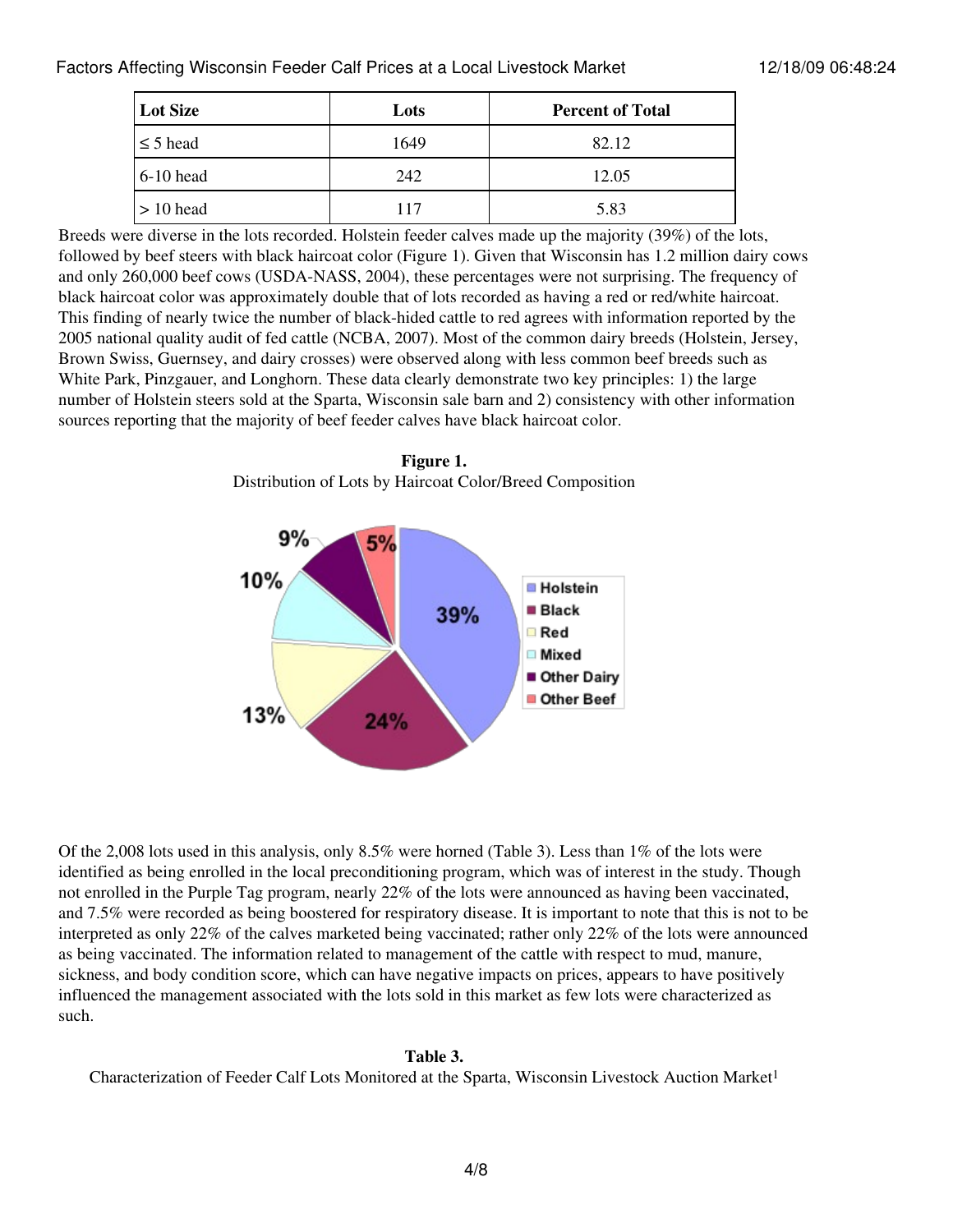| Lot Size      | <b>Percent of Total</b><br>Lots |       |
|---------------|---------------------------------|-------|
| $\leq$ 5 head | 1649                            | 82.12 |
| $6-10$ head   | 242                             | 12.05 |
| $> 10$ head   | 117                             | 5.83  |

Breeds were diverse in the lots recorded. Holstein feeder calves made up the majority (39%) of the lots, followed by beef steers with black haircoat color (Figure 1). Given that Wisconsin has 1.2 million dairy cows and only 260,000 beef cows (USDA-NASS, 2004), these percentages were not surprising. The frequency of black haircoat color was approximately double that of lots recorded as having a red or red/white haircoat. This finding of nearly twice the number of black-hided cattle to red agrees with information reported by the 2005 national quality audit of fed cattle (NCBA, 2007). Most of the common dairy breeds (Holstein, Jersey, Brown Swiss, Guernsey, and dairy crosses) were observed along with less common beef breeds such as White Park, Pinzgauer, and Longhorn. These data clearly demonstrate two key principles: 1) the large number of Holstein steers sold at the Sparta, Wisconsin sale barn and 2) consistency with other information sources reporting that the majority of beef feeder calves have black haircoat color.

**Figure 1.** Distribution of Lots by Haircoat Color/Breed Composition



Of the 2,008 lots used in this analysis, only 8.5% were horned (Table 3). Less than 1% of the lots were identified as being enrolled in the local preconditioning program, which was of interest in the study. Though not enrolled in the Purple Tag program, nearly 22% of the lots were announced as having been vaccinated, and 7.5% were recorded as being boostered for respiratory disease. It is important to note that this is not to be interpreted as only 22% of the calves marketed being vaccinated; rather only 22% of the lots were announced as being vaccinated. The information related to management of the cattle with respect to mud, manure, sickness, and body condition score, which can have negative impacts on prices, appears to have positively influenced the management associated with the lots sold in this market as few lots were characterized as such.

### **Table 3.**

Characterization of Feeder Calf Lots Monitored at the Sparta, Wisconsin Livestock Auction Market<sup>1</sup>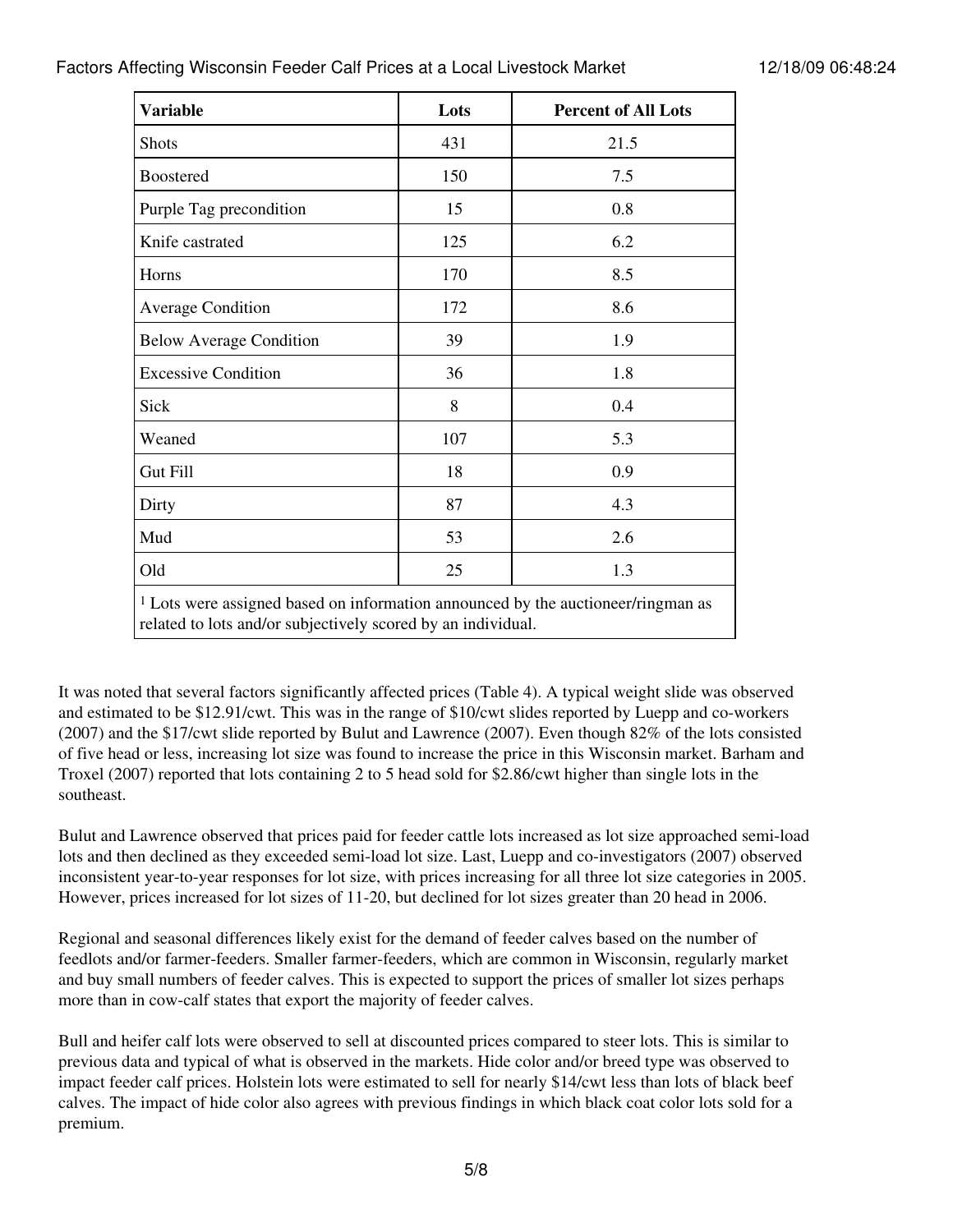### Factors Affecting Wisconsin Feeder Calf Prices at a Local Livestock Market 12/18/09 06:48:24

| <b>Variable</b><br>Lots                                                                                                                            |           | <b>Percent of All Lots</b> |  |  |
|----------------------------------------------------------------------------------------------------------------------------------------------------|-----------|----------------------------|--|--|
| <b>Shots</b>                                                                                                                                       | 431       | 21.5                       |  |  |
| <b>Boostered</b>                                                                                                                                   | 150       | 7.5                        |  |  |
| Purple Tag precondition                                                                                                                            | 15<br>0.8 |                            |  |  |
| Knife castrated                                                                                                                                    | 125       | 6.2                        |  |  |
| Horns                                                                                                                                              | 170       | 8.5                        |  |  |
| <b>Average Condition</b>                                                                                                                           | 172       | 8.6                        |  |  |
| <b>Below Average Condition</b>                                                                                                                     | 39        | 1.9                        |  |  |
| <b>Excessive Condition</b>                                                                                                                         | 36        | 1.8                        |  |  |
| Sick                                                                                                                                               | 8         | 0.4                        |  |  |
| Weaned                                                                                                                                             | 107       | 5.3                        |  |  |
| Gut Fill                                                                                                                                           | 18        | 0.9                        |  |  |
| Dirty                                                                                                                                              | 87        | 4.3                        |  |  |
| Mud                                                                                                                                                | 53        | 2.6                        |  |  |
| Old                                                                                                                                                | 25        | 1.3                        |  |  |
| $1$ Lots were assigned based on information announced by the auctioneer/ringman as<br>related to lots and/or subjectively scored by an individual. |           |                            |  |  |

It was noted that several factors significantly affected prices (Table 4). A typical weight slide was observed and estimated to be \$12.91/cwt. This was in the range of \$10/cwt slides reported by Luepp and co-workers (2007) and the \$17/cwt slide reported by Bulut and Lawrence (2007). Even though 82% of the lots consisted of five head or less, increasing lot size was found to increase the price in this Wisconsin market. Barham and Troxel (2007) reported that lots containing 2 to 5 head sold for \$2.86/cwt higher than single lots in the southeast.

Bulut and Lawrence observed that prices paid for feeder cattle lots increased as lot size approached semi-load lots and then declined as they exceeded semi-load lot size. Last, Luepp and co-investigators (2007) observed inconsistent year-to-year responses for lot size, with prices increasing for all three lot size categories in 2005. However, prices increased for lot sizes of 11-20, but declined for lot sizes greater than 20 head in 2006.

Regional and seasonal differences likely exist for the demand of feeder calves based on the number of feedlots and/or farmer-feeders. Smaller farmer-feeders, which are common in Wisconsin, regularly market and buy small numbers of feeder calves. This is expected to support the prices of smaller lot sizes perhaps more than in cow-calf states that export the majority of feeder calves.

Bull and heifer calf lots were observed to sell at discounted prices compared to steer lots. This is similar to previous data and typical of what is observed in the markets. Hide color and/or breed type was observed to impact feeder calf prices. Holstein lots were estimated to sell for nearly \$14/cwt less than lots of black beef calves. The impact of hide color also agrees with previous findings in which black coat color lots sold for a premium.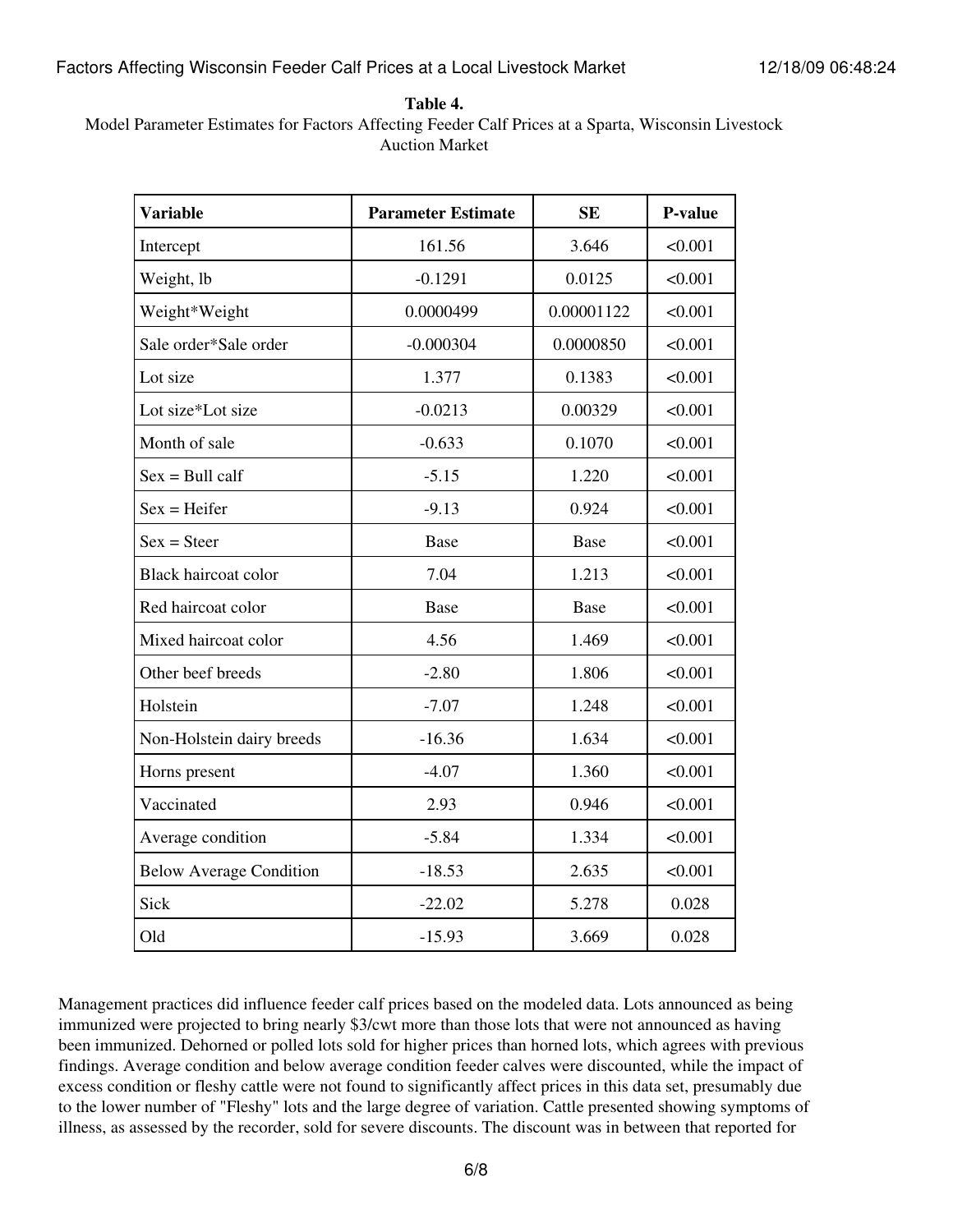**Table 4.**

Model Parameter Estimates for Factors Affecting Feeder Calf Prices at a Sparta, Wisconsin Livestock Auction Market

| <b>Variable</b>                | <b>Parameter Estimate</b> | <b>SE</b>   | P-value |
|--------------------------------|---------------------------|-------------|---------|
| Intercept                      | 161.56                    | 3.646       | < 0.001 |
| Weight, lb                     | $-0.1291$                 | 0.0125      | < 0.001 |
| Weight*Weight                  | 0.0000499                 | 0.00001122  | < 0.001 |
| Sale order*Sale order          | $-0.000304$               | 0.0000850   | < 0.001 |
| Lot size                       | 1.377                     | 0.1383      | < 0.001 |
| Lot size*Lot size              | $-0.0213$                 | 0.00329     | < 0.001 |
| Month of sale                  | $-0.633$                  | 0.1070      | < 0.001 |
| $Sex = Bull \, call$           | $-5.15$                   | 1.220       | < 0.001 |
| $Sex = Heifer$                 | $-9.13$                   | 0.924       | < 0.001 |
| $Sex = Steer$                  | <b>Base</b>               | <b>Base</b> | < 0.001 |
| <b>Black haircoat color</b>    | 7.04                      | 1.213       | < 0.001 |
| Red haircoat color             | <b>Base</b>               | <b>Base</b> | < 0.001 |
| Mixed haircoat color           | 4.56                      | 1.469       | < 0.001 |
| Other beef breeds              | $-2.80$                   | 1.806       | < 0.001 |
| Holstein                       | $-7.07$                   | 1.248       | < 0.001 |
| Non-Holstein dairy breeds      | $-16.36$                  | 1.634       | < 0.001 |
| Horns present                  | $-4.07$                   | 1.360       | < 0.001 |
| Vaccinated                     | 2.93                      | 0.946       | < 0.001 |
| Average condition              | $-5.84$                   | 1.334       | < 0.001 |
| <b>Below Average Condition</b> | $-18.53$                  | 2.635       | < 0.001 |
| Sick                           | $-22.02$                  | 5.278       | 0.028   |
| Old                            | $-15.93$                  | 3.669       | 0.028   |

Management practices did influence feeder calf prices based on the modeled data. Lots announced as being immunized were projected to bring nearly \$3/cwt more than those lots that were not announced as having been immunized. Dehorned or polled lots sold for higher prices than horned lots, which agrees with previous findings. Average condition and below average condition feeder calves were discounted, while the impact of excess condition or fleshy cattle were not found to significantly affect prices in this data set, presumably due to the lower number of "Fleshy" lots and the large degree of variation. Cattle presented showing symptoms of illness, as assessed by the recorder, sold for severe discounts. The discount was in between that reported for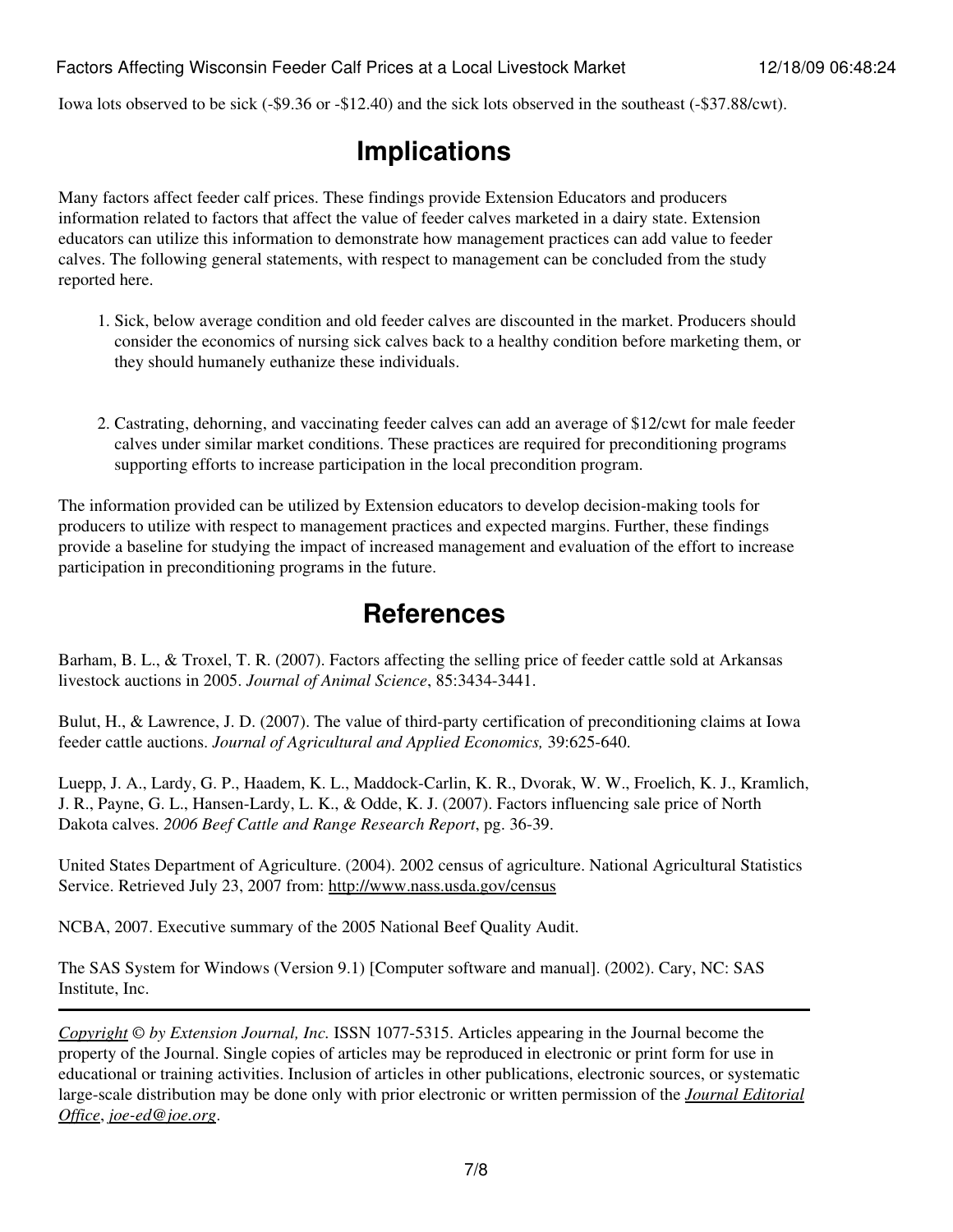Iowa lots observed to be sick (-\$9.36 or -\$12.40) and the sick lots observed in the southeast (-\$37.88/cwt).

## **Implications**

Many factors affect feeder calf prices. These findings provide Extension Educators and producers information related to factors that affect the value of feeder calves marketed in a dairy state. Extension educators can utilize this information to demonstrate how management practices can add value to feeder calves. The following general statements, with respect to management can be concluded from the study reported here.

- 1. Sick, below average condition and old feeder calves are discounted in the market. Producers should consider the economics of nursing sick calves back to a healthy condition before marketing them, or they should humanely euthanize these individuals.
- 2. Castrating, dehorning, and vaccinating feeder calves can add an average of \$12/cwt for male feeder calves under similar market conditions. These practices are required for preconditioning programs supporting efforts to increase participation in the local precondition program.

The information provided can be utilized by Extension educators to develop decision-making tools for producers to utilize with respect to management practices and expected margins. Further, these findings provide a baseline for studying the impact of increased management and evaluation of the effort to increase participation in preconditioning programs in the future.

### **References**

Barham, B. L., & Troxel, T. R. (2007). Factors affecting the selling price of feeder cattle sold at Arkansas livestock auctions in 2005. *Journal of Animal Science*, 85:3434-3441.

Bulut, H., & Lawrence, J. D. (2007). The value of third-party certification of preconditioning claims at Iowa feeder cattle auctions. *Journal of Agricultural and Applied Economics,* 39:625-640.

Luepp, J. A., Lardy, G. P., Haadem, K. L., Maddock-Carlin, K. R., Dvorak, W. W., Froelich, K. J., Kramlich, J. R., Payne, G. L., Hansen-Lardy, L. K., & Odde, K. J. (2007). Factors influencing sale price of North Dakota calves. *2006 Beef Cattle and Range Research Report*, pg. 36-39.

United States Department of Agriculture. (2004). 2002 census of agriculture. National Agricultural Statistics Service. Retrieved July 23, 2007 from:<http://www.nass.usda.gov/census>

NCBA, 2007. Executive summary of the 2005 National Beef Quality Audit.

The SAS System for Windows (Version 9.1) [Computer software and manual]. (2002). Cary, NC: SAS Institute, Inc.

*[Copyright](http://www.joe.org:80/joe/2009december/../../copyright.html) © by Extension Journal, Inc.* ISSN 1077-5315. Articles appearing in the Journal become the property of the Journal. Single copies of articles may be reproduced in electronic or print form for use in educational or training activities. Inclusion of articles in other publications, electronic sources, or systematic large-scale distribution may be done only with prior electronic or written permission of the *[Journal Editorial](http://www.joe.org:80/joe/2009december/../../joe-jeo.html) [Office](http://www.joe.org:80/joe/2009december/../../joe-jeo.html)*, *[joe-ed@joe.org](mailto:joe-ed@joe.org)*.